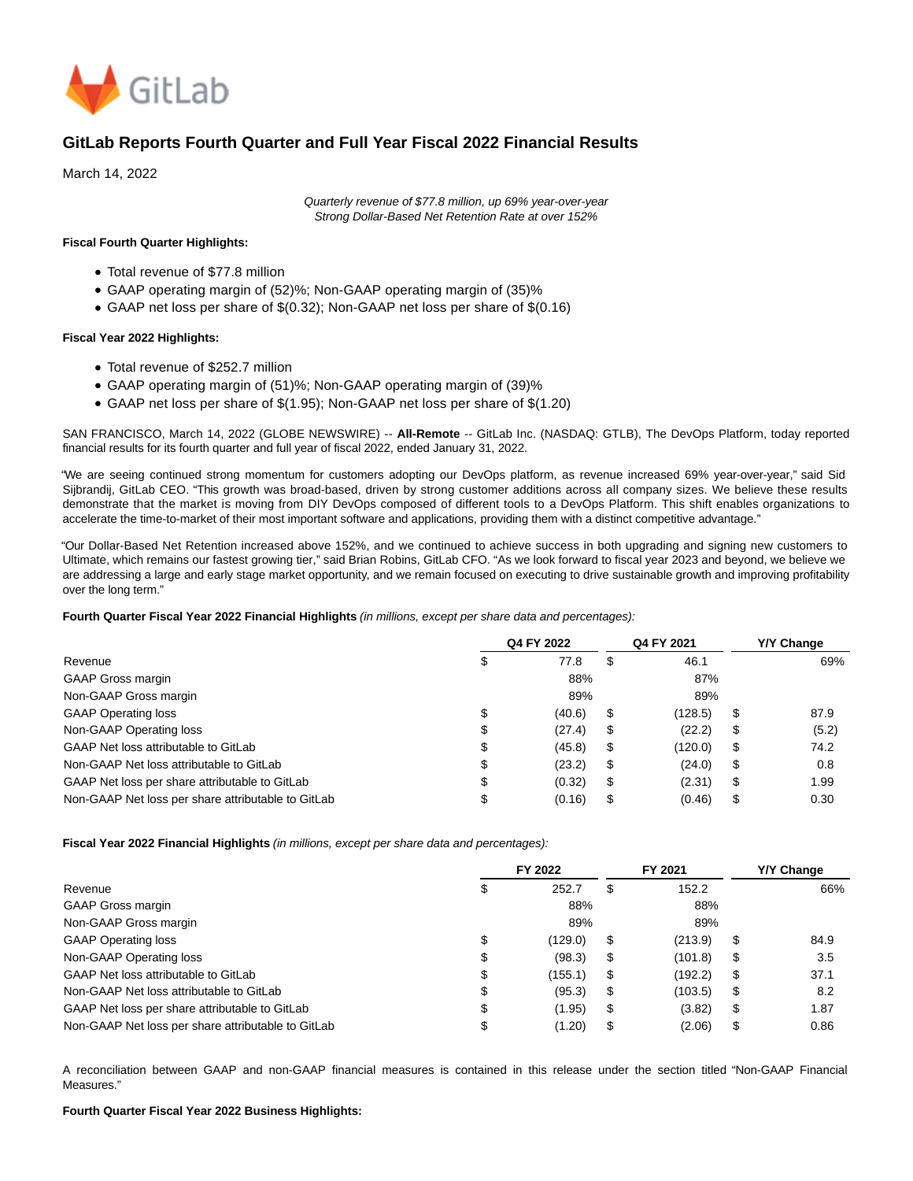

# **GitLab Reports Fourth Quarter and Full Year Fiscal 2022 Financial Results**

March 14, 2022

Quarterly revenue of \$77.8 million, up 69% year-over-year Strong Dollar-Based Net Retention Rate at over 152%

### **Fiscal Fourth Quarter Highlights:**

- Total revenue of \$77.8 million
- GAAP operating margin of (52)%; Non-GAAP operating margin of (35)%
- GAAP net loss per share of \$(0.32); Non-GAAP net loss per share of \$(0.16)

### **Fiscal Year 2022 Highlights:**

- Total revenue of \$252.7 million
- GAAP operating margin of (51)%; Non-GAAP operating margin of (39)%
- GAAP net loss per share of \$(1.95); Non-GAAP net loss per share of \$(1.20)

SAN FRANCISCO, March 14, 2022 (GLOBE NEWSWIRE) -- **All-Remote** -- GitLab Inc. (NASDAQ: GTLB), The DevOps Platform, today reported financial results for its fourth quarter and full year of fiscal 2022, ended January 31, 2022.

"We are seeing continued strong momentum for customers adopting our DevOps platform, as revenue increased 69% year-over-year," said Sid Sijbrandij, GitLab CEO. "This growth was broad-based, driven by strong customer additions across all company sizes. We believe these results demonstrate that the market is moving from DIY DevOps composed of different tools to a DevOps Platform. This shift enables organizations to accelerate the time-to-market of their most important software and applications, providing them with a distinct competitive advantage."

"Our Dollar-Based Net Retention increased above 152%, and we continued to achieve success in both upgrading and signing new customers to Ultimate, which remains our fastest growing tier," said Brian Robins, GitLab CFO. "As we look forward to fiscal year 2023 and beyond, we believe we are addressing a large and early stage market opportunity, and we remain focused on executing to drive sustainable growth and improving profitability over the long term."

### **Fourth Quarter Fiscal Year 2022 Financial Highlights** (in millions, except per share data and percentages):

|                                                    |        | Q4 FY 2022 | Q4 FY 2021    |    | Y/Y Change |
|----------------------------------------------------|--------|------------|---------------|----|------------|
| Revenue                                            |        | 77.8       | \$<br>46.1    |    | 69%        |
| GAAP Gross margin                                  |        | 88%        | 87%           |    |            |
| Non-GAAP Gross margin                              |        | 89%        | 89%           |    |            |
| <b>GAAP Operating loss</b>                         | \$     | (40.6)     | \$<br>(128.5) | \$ | 87.9       |
| Non-GAAP Operating loss                            | Φ      | (27.4)     | \$<br>(22.2)  | \$ | (5.2)      |
| GAAP Net loss attributable to GitLab               | Φ      | (45.8)     | \$<br>(120.0) | \$ | 74.2       |
| Non-GAAP Net loss attributable to GitLab           | ¢<br>Φ | (23.2)     | \$<br>(24.0)  | \$ | 0.8        |
| GAAP Net loss per share attributable to GitLab     | Φ      | (0.32)     | \$<br>(2.31)  | \$ | 1.99       |
| Non-GAAP Net loss per share attributable to GitLab |        | (0.16)     | \$<br>(0.46)  | S  | 0.30       |

**Fiscal Year 2022 Financial Highlights** (in millions, except per share data and percentages):

|                                                    |    | FY 2022 | FY 2021       | Y/Y Change |
|----------------------------------------------------|----|---------|---------------|------------|
| Revenue                                            |    | 252.7   | \$<br>152.2   | 66%        |
| <b>GAAP Gross margin</b>                           |    | 88%     | 88%           |            |
| Non-GAAP Gross margin                              |    | 89%     | 89%           |            |
| <b>GAAP Operating loss</b>                         | \$ | (129.0) | \$<br>(213.9) | \$<br>84.9 |
| Non-GAAP Operating loss                            | Φ  | (98.3)  | \$<br>(101.8) | \$<br>3.5  |
| GAAP Net loss attributable to GitLab               | \$ | (155.1) | \$<br>(192.2) | \$<br>37.1 |
| Non-GAAP Net loss attributable to GitLab           | Φ  | (95.3)  | \$<br>(103.5) | \$<br>8.2  |
| GAAP Net loss per share attributable to GitLab     | Φ  | (1.95)  | \$<br>(3.82)  | \$<br>1.87 |
| Non-GAAP Net loss per share attributable to GitLab |    | (1.20)  | \$<br>(2.06)  | \$<br>0.86 |

A reconciliation between GAAP and non-GAAP financial measures is contained in this release under the section titled "Non-GAAP Financial Measures."

### **Fourth Quarter Fiscal Year 2022 Business Highlights:**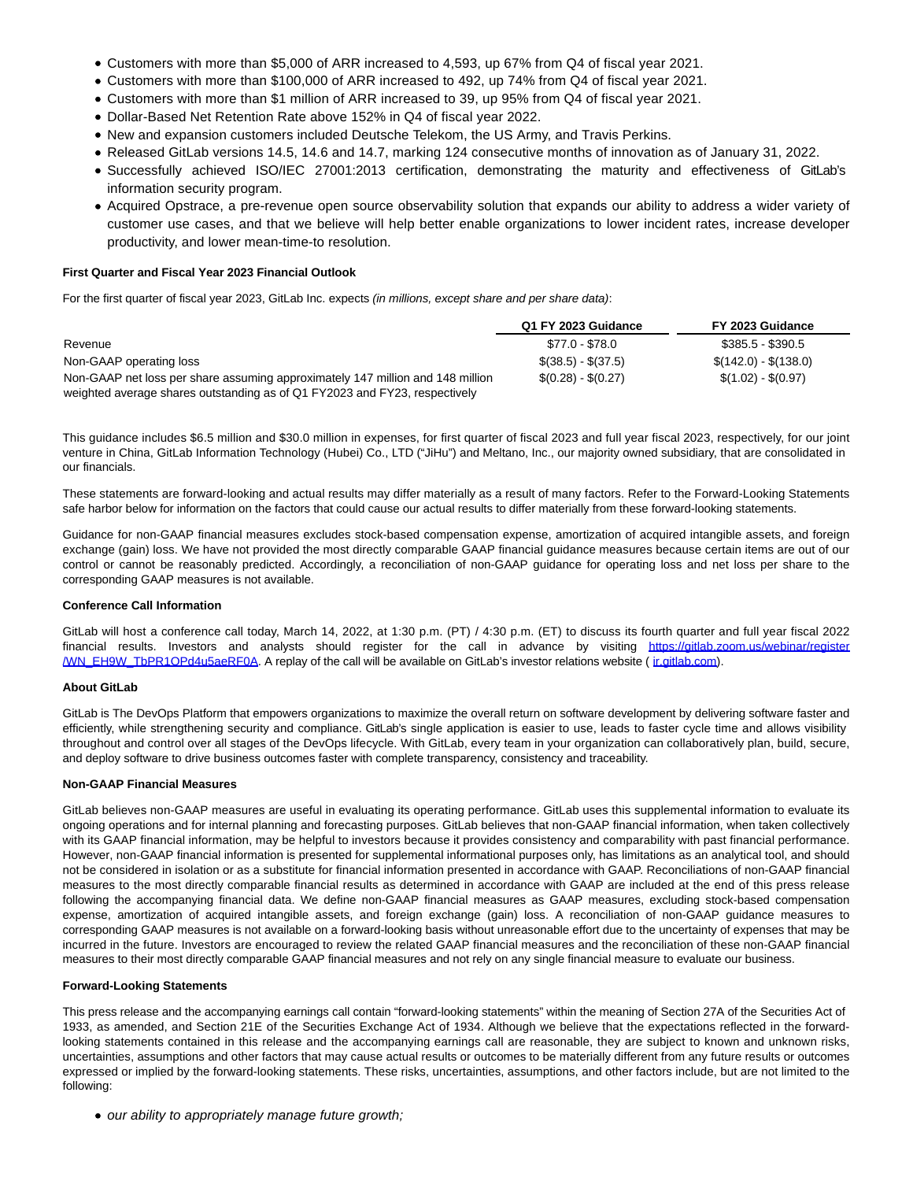- Customers with more than \$5,000 of ARR increased to 4,593, up 67% from Q4 of fiscal year 2021.
- Customers with more than \$100,000 of ARR increased to 492, up 74% from Q4 of fiscal year 2021.
- Customers with more than \$1 million of ARR increased to 39, up 95% from Q4 of fiscal year 2021.
- Dollar-Based Net Retention Rate above 152% in Q4 of fiscal year 2022.
- New and expansion customers included Deutsche Telekom, the US Army, and Travis Perkins.
- Released GitLab versions 14.5, 14.6 and 14.7, marking 124 consecutive months of innovation as of January 31, 2022.
- Successfully achieved ISO/IEC 27001:2013 certification, demonstrating the maturity and effectiveness of GitLab's information security program.
- Acquired Opstrace, a pre-revenue open source observability solution that expands our ability to address a wider variety of customer use cases, and that we believe will help better enable organizations to lower incident rates, increase developer productivity, and lower mean-time-to resolution.

## **First Quarter and Fiscal Year 2023 Financial Outlook**

For the first quarter of fiscal year 2023, GitLab Inc. expects (in millions, except share and per share data):

|                                                                                | Q1 FY 2023 Guidance | FY 2023 Guidance      |
|--------------------------------------------------------------------------------|---------------------|-----------------------|
| Revenue                                                                        | \$77.0 - \$78.0     | $$385.5 - $390.5$     |
| Non-GAAP operating loss                                                        | $$(38.5) - $(37.5)$ | $$(142.0) - $(138.0)$ |
| Non-GAAP net loss per share assuming approximately 147 million and 148 million | $$(0.28) - $(0.27)$ | $$(1.02) - $(0.97)$   |
| weighted average shares outstanding as of Q1 FY2023 and FY23, respectively     |                     |                       |

This guidance includes \$6.5 million and \$30.0 million in expenses, for first quarter of fiscal 2023 and full year fiscal 2023, respectively, for our joint venture in China, GitLab Information Technology (Hubei) Co., LTD ("JiHu") and Meltano, Inc., our majority owned subsidiary, that are consolidated in our financials.

These statements are forward-looking and actual results may differ materially as a result of many factors. Refer to the Forward-Looking Statements safe harbor below for information on the factors that could cause our actual results to differ materially from these forward-looking statements.

Guidance for non-GAAP financial measures excludes stock-based compensation expense, amortization of acquired intangible assets, and foreign exchange (gain) loss. We have not provided the most directly comparable GAAP financial guidance measures because certain items are out of our control or cannot be reasonably predicted. Accordingly, a reconciliation of non-GAAP guidance for operating loss and net loss per share to the corresponding GAAP measures is not available.

#### **Conference Call Information**

GitLab will host a conference call today, March 14, 2022, at 1:30 p.m. (PT) / 4:30 p.m. (ET) to discuss its fourth quarter and full year fiscal 2022 financial results. Investors and analysts should register for the call in advance by visiting [https://gitlab.zoom.us/webinar/register](https://www.globenewswire.com/Tracker?data=hrHGN8QCwJtgiH__hpJoIIPVZJUdFK3sFPDgc7s0nXUmQqBQrQNz8fgbbKvKj53XO2PzruonbKoCm-4DEjVDu6b9TBgibH6p_u2szQP_qdh6dnFw6kY3NVVuSqfW03LSM4thFalzaR_oDQk-URCEOiYRCLTe3CcoflHNhtdQeTwGSp3QDD-PbS1Y1TP2HR4dSjXc_DGp7Y_VmCek-cbYLw==) /WN\_EH9W\_TbPR1OPd4u5aeRF0A. A replay of the call will be available on GitLab's investor relations website ( [ir.gitlab.com\).](https://www.globenewswire.com/Tracker?data=E4_7DEfzm7dVDINbB16pQOFTijdDLseRRMjaHp6XRe6wgHw9qpX7oE_ixdC6uQ0a0KIieavDxb2OOSngapBmrw==)

### **About GitLab**

GitLab is The DevOps Platform that empowers organizations to maximize the overall return on software development by delivering software faster and efficiently, while strengthening security and compliance. GitLab's single application is easier to use, leads to faster cycle time and allows visibility throughout and control over all stages of the DevOps lifecycle. With GitLab, every team in your organization can collaboratively plan, build, secure, and deploy software to drive business outcomes faster with complete transparency, consistency and traceability.

#### **Non-GAAP Financial Measures**

GitLab believes non-GAAP measures are useful in evaluating its operating performance. GitLab uses this supplemental information to evaluate its ongoing operations and for internal planning and forecasting purposes. GitLab believes that non-GAAP financial information, when taken collectively with its GAAP financial information, may be helpful to investors because it provides consistency and comparability with past financial performance. However, non-GAAP financial information is presented for supplemental informational purposes only, has limitations as an analytical tool, and should not be considered in isolation or as a substitute for financial information presented in accordance with GAAP. Reconciliations of non-GAAP financial measures to the most directly comparable financial results as determined in accordance with GAAP are included at the end of this press release following the accompanying financial data. We define non-GAAP financial measures as GAAP measures, excluding stock-based compensation expense, amortization of acquired intangible assets, and foreign exchange (gain) loss. A reconciliation of non-GAAP guidance measures to corresponding GAAP measures is not available on a forward-looking basis without unreasonable effort due to the uncertainty of expenses that may be incurred in the future. Investors are encouraged to review the related GAAP financial measures and the reconciliation of these non-GAAP financial measures to their most directly comparable GAAP financial measures and not rely on any single financial measure to evaluate our business.

# **Forward-Looking Statements**

This press release and the accompanying earnings call contain "forward-looking statements" within the meaning of Section 27A of the Securities Act of 1933, as amended, and Section 21E of the Securities Exchange Act of 1934. Although we believe that the expectations reflected in the forwardlooking statements contained in this release and the accompanying earnings call are reasonable, they are subject to known and unknown risks, uncertainties, assumptions and other factors that may cause actual results or outcomes to be materially different from any future results or outcomes expressed or implied by the forward-looking statements. These risks, uncertainties, assumptions, and other factors include, but are not limited to the following:

• our ability to appropriately manage future growth;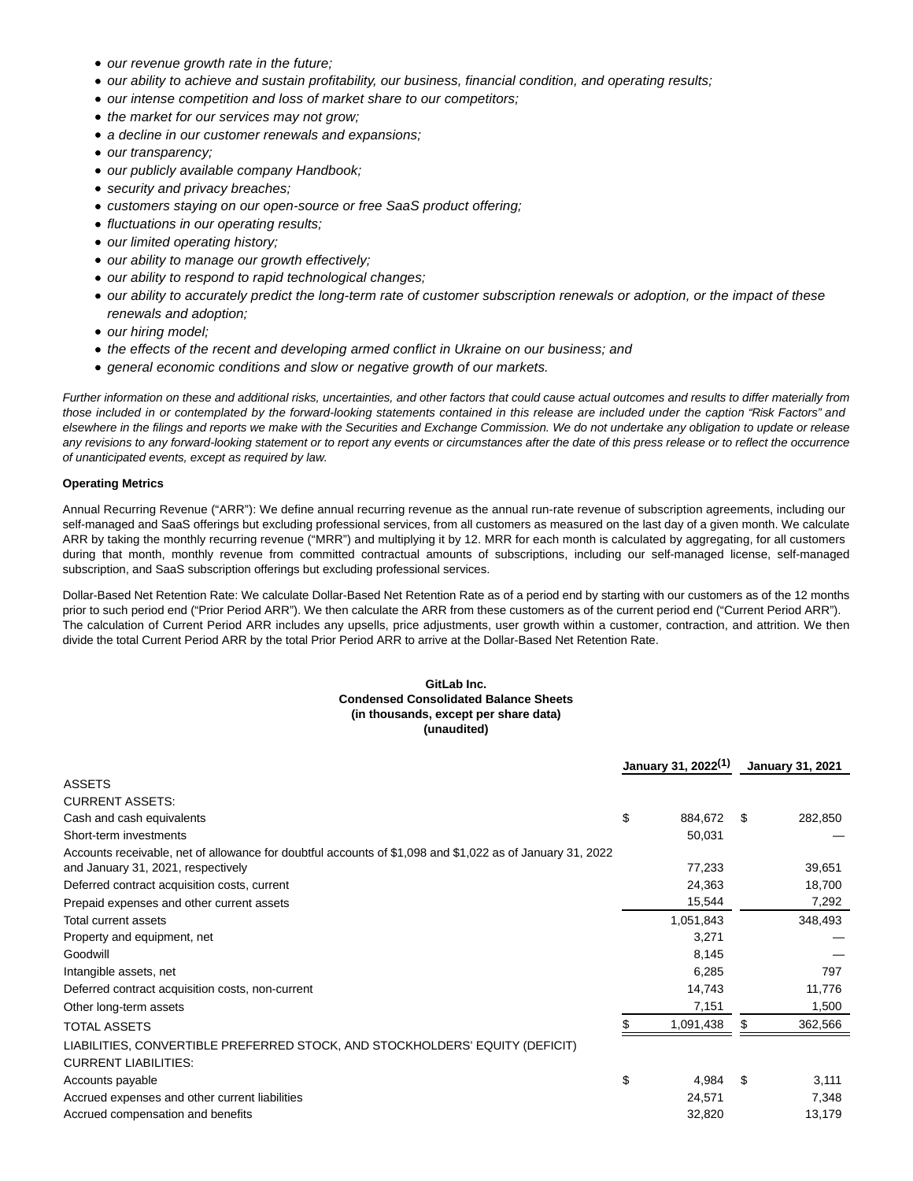- our revenue growth rate in the future;
- our ability to achieve and sustain profitability, our business, financial condition, and operating results;
- our intense competition and loss of market share to our competitors;
- the market for our services may not grow;
- a decline in our customer renewals and expansions;
- our transparency;
- our publicly available company Handbook;
- security and privacy breaches;
- customers staying on our open-source or free SaaS product offering;
- fluctuations in our operating results;
- our limited operating history;
- our ability to manage our growth effectively;
- our ability to respond to rapid technological changes;
- our ability to accurately predict the long-term rate of customer subscription renewals or adoption, or the impact of these renewals and adoption;
- our hiring model;
- the effects of the recent and developing armed conflict in Ukraine on our business; and
- general economic conditions and slow or negative growth of our markets.

Further information on these and additional risks, uncertainties, and other factors that could cause actual outcomes and results to differ materially from those included in or contemplated by the forward-looking statements contained in this release are included under the caption "Risk Factors" and elsewhere in the filings and reports we make with the Securities and Exchange Commission. We do not undertake any obligation to update or release any revisions to any forward-looking statement or to report any events or circumstances after the date of this press release or to reflect the occurrence of unanticipated events, except as required by law.

### **Operating Metrics**

Annual Recurring Revenue ("ARR"): We define annual recurring revenue as the annual run-rate revenue of subscription agreements, including our self-managed and SaaS offerings but excluding professional services, from all customers as measured on the last day of a given month. We calculate ARR by taking the monthly recurring revenue ("MRR") and multiplying it by 12. MRR for each month is calculated by aggregating, for all customers during that month, monthly revenue from committed contractual amounts of subscriptions, including our self-managed license, self-managed subscription, and SaaS subscription offerings but excluding professional services.

Dollar-Based Net Retention Rate: We calculate Dollar-Based Net Retention Rate as of a period end by starting with our customers as of the 12 months prior to such period end ("Prior Period ARR"). We then calculate the ARR from these customers as of the current period end ("Current Period ARR"). The calculation of Current Period ARR includes any upsells, price adjustments, user growth within a customer, contraction, and attrition. We then divide the total Current Period ARR by the total Prior Period ARR to arrive at the Dollar-Based Net Retention Rate.

### **GitLab Inc. Condensed Consolidated Balance Sheets (in thousands, except per share data) (unaudited)**

|                                                                                                                                                 |    | January 31, 2022 <sup>(1)</sup> |      | <b>January 31, 2021</b> |  |
|-------------------------------------------------------------------------------------------------------------------------------------------------|----|---------------------------------|------|-------------------------|--|
| <b>ASSETS</b>                                                                                                                                   |    |                                 |      |                         |  |
| <b>CURRENT ASSETS:</b>                                                                                                                          |    |                                 |      |                         |  |
| Cash and cash equivalents                                                                                                                       | \$ | 884,672                         | - \$ | 282,850                 |  |
| Short-term investments                                                                                                                          |    | 50,031                          |      |                         |  |
| Accounts receivable, net of allowance for doubtful accounts of \$1,098 and \$1,022 as of January 31, 2022<br>and January 31, 2021, respectively |    | 77,233                          |      | 39,651                  |  |
| Deferred contract acquisition costs, current                                                                                                    |    | 24,363                          |      | 18,700                  |  |
| Prepaid expenses and other current assets                                                                                                       |    | 15,544                          |      | 7,292                   |  |
| Total current assets                                                                                                                            |    | 1,051,843                       |      | 348,493                 |  |
| Property and equipment, net                                                                                                                     |    | 3,271                           |      |                         |  |
| Goodwill                                                                                                                                        |    | 8,145                           |      |                         |  |
| Intangible assets, net                                                                                                                          |    | 6,285                           |      | 797                     |  |
| Deferred contract acquisition costs, non-current                                                                                                |    | 14,743                          |      | 11,776                  |  |
| Other long-term assets                                                                                                                          |    | 7,151                           |      | 1,500                   |  |
| <b>TOTAL ASSETS</b>                                                                                                                             |    | 1,091,438                       |      | 362,566                 |  |
| LIABILITIES, CONVERTIBLE PREFERRED STOCK, AND STOCKHOLDERS' EQUITY (DEFICIT)                                                                    |    |                                 |      |                         |  |
| <b>CURRENT LIABILITIES:</b>                                                                                                                     |    |                                 |      |                         |  |
| Accounts payable                                                                                                                                | \$ | 4,984                           | \$.  | 3,111                   |  |
| Accrued expenses and other current liabilities                                                                                                  |    | 24,571                          |      | 7,348                   |  |
| Accrued compensation and benefits                                                                                                               |    | 32,820                          |      | 13,179                  |  |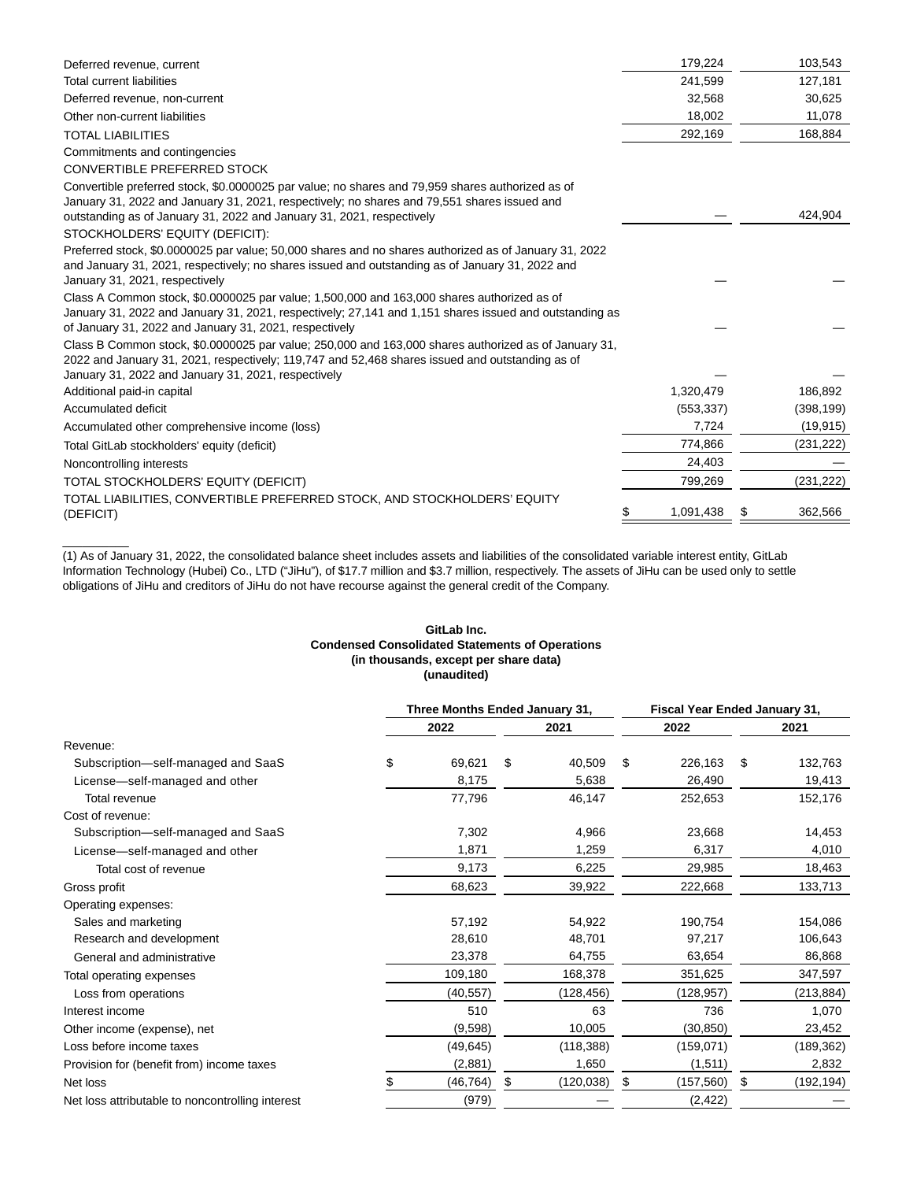| Deferred revenue, current                                                                                                                                                                                                                                                | 179,224    | 103,543    |
|--------------------------------------------------------------------------------------------------------------------------------------------------------------------------------------------------------------------------------------------------------------------------|------------|------------|
| <b>Total current liabilities</b>                                                                                                                                                                                                                                         | 241,599    | 127,181    |
| Deferred revenue, non-current                                                                                                                                                                                                                                            | 32,568     | 30,625     |
| Other non-current liabilities                                                                                                                                                                                                                                            | 18.002     | 11,078     |
| <b>TOTAL LIABILITIES</b>                                                                                                                                                                                                                                                 | 292,169    | 168,884    |
| Commitments and contingencies                                                                                                                                                                                                                                            |            |            |
| <b>CONVERTIBLE PREFERRED STOCK</b>                                                                                                                                                                                                                                       |            |            |
| Convertible preferred stock, \$0.0000025 par value; no shares and 79,959 shares authorized as of<br>January 31, 2022 and January 31, 2021, respectively; no shares and 79,551 shares issued and<br>outstanding as of January 31, 2022 and January 31, 2021, respectively |            | 424.904    |
| STOCKHOLDERS' EQUITY (DEFICIT):                                                                                                                                                                                                                                          |            |            |
| Preferred stock, \$0.0000025 par value; 50,000 shares and no shares authorized as of January 31, 2022<br>and January 31, 2021, respectively; no shares issued and outstanding as of January 31, 2022 and<br>January 31, 2021, respectively                               |            |            |
| Class A Common stock, \$0.0000025 par value; 1,500,000 and 163,000 shares authorized as of<br>January 31, 2022 and January 31, 2021, respectively; 27,141 and 1,151 shares issued and outstanding as<br>of January 31, 2022 and January 31, 2021, respectively           |            |            |
| Class B Common stock, \$0.0000025 par value; 250,000 and 163,000 shares authorized as of January 31,<br>2022 and January 31, 2021, respectively; 119,747 and 52,468 shares issued and outstanding as of<br>January 31, 2022 and January 31, 2021, respectively           |            |            |
| Additional paid-in capital                                                                                                                                                                                                                                               | 1,320,479  | 186,892    |
| Accumulated deficit                                                                                                                                                                                                                                                      | (553, 337) | (398, 199) |
| Accumulated other comprehensive income (loss)                                                                                                                                                                                                                            | 7,724      | (19, 915)  |
| Total GitLab stockholders' equity (deficit)                                                                                                                                                                                                                              | 774,866    | (231, 222) |
| Noncontrolling interests                                                                                                                                                                                                                                                 | 24,403     |            |
| TOTAL STOCKHOLDERS' EQUITY (DEFICIT)                                                                                                                                                                                                                                     | 799,269    | (231, 222) |
| TOTAL LIABILITIES, CONVERTIBLE PREFERRED STOCK, AND STOCKHOLDERS' EQUITY<br>(DEFICIT)                                                                                                                                                                                    | 1,091,438  | 362,566    |
|                                                                                                                                                                                                                                                                          |            |            |

(1) As of January 31, 2022, the consolidated balance sheet includes assets and liabilities of the consolidated variable interest entity, GitLab Information Technology (Hubei) Co., LTD ("JiHu"), of \$17.7 million and \$3.7 million, respectively. The assets of JiHu can be used only to settle obligations of JiHu and creditors of JiHu do not have recourse against the general credit of the Company.

\_\_\_\_\_\_\_\_\_\_

### **GitLab Inc. Condensed Consolidated Statements of Operations (in thousands, except per share data) (unaudited)**

|                                                  |                 | Three Months Ended January 31, |            |    | Fiscal Year Ended January 31, |    |            |  |
|--------------------------------------------------|-----------------|--------------------------------|------------|----|-------------------------------|----|------------|--|
|                                                  | 2022            |                                | 2021       |    | 2022                          |    | 2021       |  |
| Revenue:                                         |                 |                                |            |    |                               |    |            |  |
| Subscription-self-managed and SaaS               | \$<br>69,621    | \$                             | 40,509     | \$ | 226,163                       | \$ | 132,763    |  |
| License-self-managed and other                   | 8,175           |                                | 5,638      |    | 26,490                        |    | 19,413     |  |
| Total revenue                                    | 77,796          |                                | 46,147     |    | 252,653                       |    | 152,176    |  |
| Cost of revenue:                                 |                 |                                |            |    |                               |    |            |  |
| Subscription-self-managed and SaaS               | 7,302           |                                | 4,966      |    | 23,668                        |    | 14,453     |  |
| License-self-managed and other                   | 1,871           |                                | 1,259      |    | 6,317                         |    | 4,010      |  |
| Total cost of revenue                            | 9,173           |                                | 6,225      |    | 29,985                        |    | 18,463     |  |
| Gross profit                                     | 68,623          |                                | 39,922     |    | 222,668                       |    | 133,713    |  |
| Operating expenses:                              |                 |                                |            |    |                               |    |            |  |
| Sales and marketing                              | 57,192          |                                | 54,922     |    | 190,754                       |    | 154,086    |  |
| Research and development                         | 28,610          |                                | 48,701     |    | 97,217                        |    | 106,643    |  |
| General and administrative                       | 23,378          |                                | 64,755     |    | 63,654                        |    | 86,868     |  |
| Total operating expenses                         | 109,180         |                                | 168,378    |    | 351,625                       |    | 347,597    |  |
| Loss from operations                             | (40, 557)       |                                | (128,456)  |    | (128, 957)                    |    | (213, 884) |  |
| Interest income                                  | 510             |                                | 63         |    | 736                           |    | 1,070      |  |
| Other income (expense), net                      | (9,598)         |                                | 10,005     |    | (30, 850)                     |    | 23,452     |  |
| Loss before income taxes                         | (49, 645)       |                                | (118, 388) |    | (159,071)                     |    | (189, 362) |  |
| Provision for (benefit from) income taxes        | (2,881)         |                                | 1,650      |    | (1,511)                       |    | 2,832      |  |
| Net loss                                         | \$<br>(46, 764) | \$                             | (120, 038) | \$ | (157, 560)                    | \$ | (192, 194) |  |
| Net loss attributable to noncontrolling interest | (979)           |                                |            |    | (2, 422)                      |    |            |  |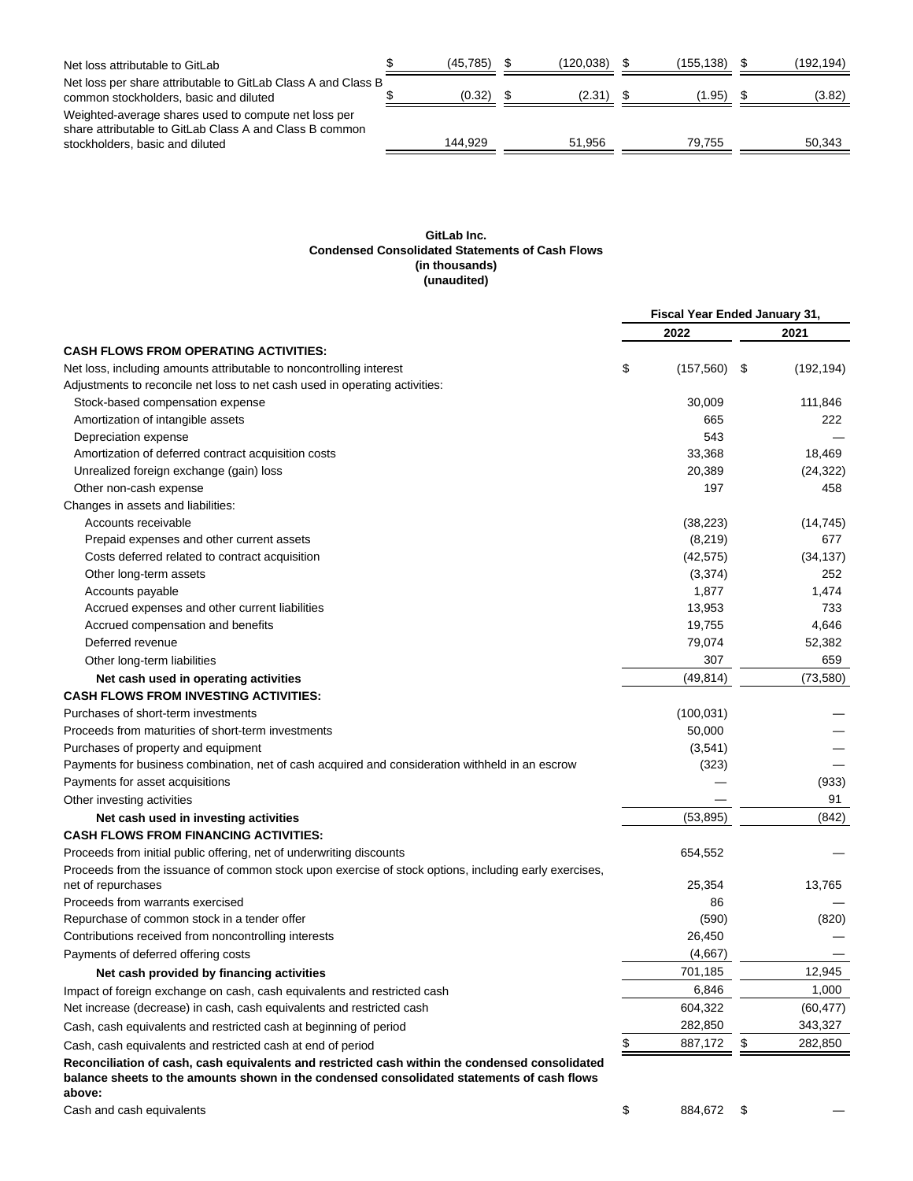| Net loss attributable to GitLab                                                                                                                    | (45, 785) | (120.038) | (155.138) | (192, 194) |
|----------------------------------------------------------------------------------------------------------------------------------------------------|-----------|-----------|-----------|------------|
| Net loss per share attributable to GitLab Class A and Class B<br>common stockholders, basic and diluted                                            | (0.32)    | (2.31)    | (1.95)    | (3.82)     |
| Weighted-average shares used to compute net loss per<br>share attributable to GitLab Class A and Class B common<br>stockholders, basic and diluted | 144.929   | 51.956    | 79.755    | 50.343     |

### **GitLab Inc. Condensed Consolidated Statements of Cash Flows (in thousands) (unaudited)**

|                                                                                                                                                                                                        | Fiscal Year Ended January 31, |            |      |            |
|--------------------------------------------------------------------------------------------------------------------------------------------------------------------------------------------------------|-------------------------------|------------|------|------------|
|                                                                                                                                                                                                        |                               | 2022       |      | 2021       |
| <b>CASH FLOWS FROM OPERATING ACTIVITIES:</b>                                                                                                                                                           |                               |            |      |            |
| Net loss, including amounts attributable to noncontrolling interest                                                                                                                                    | \$                            | (157, 560) | - \$ | (192, 194) |
| Adjustments to reconcile net loss to net cash used in operating activities:                                                                                                                            |                               |            |      |            |
| Stock-based compensation expense                                                                                                                                                                       |                               | 30,009     |      | 111,846    |
| Amortization of intangible assets                                                                                                                                                                      |                               | 665        |      | 222        |
| Depreciation expense                                                                                                                                                                                   |                               | 543        |      |            |
| Amortization of deferred contract acquisition costs                                                                                                                                                    |                               | 33,368     |      | 18,469     |
| Unrealized foreign exchange (gain) loss                                                                                                                                                                |                               | 20,389     |      | (24, 322)  |
| Other non-cash expense                                                                                                                                                                                 |                               | 197        |      | 458        |
| Changes in assets and liabilities:                                                                                                                                                                     |                               |            |      |            |
| Accounts receivable                                                                                                                                                                                    |                               | (38, 223)  |      | (14, 745)  |
| Prepaid expenses and other current assets                                                                                                                                                              |                               | (8, 219)   |      | 677        |
| Costs deferred related to contract acquisition                                                                                                                                                         |                               | (42, 575)  |      | (34, 137)  |
| Other long-term assets                                                                                                                                                                                 |                               | (3, 374)   |      | 252        |
| Accounts payable                                                                                                                                                                                       |                               | 1,877      |      | 1,474      |
| Accrued expenses and other current liabilities                                                                                                                                                         |                               | 13,953     |      | 733        |
| Accrued compensation and benefits                                                                                                                                                                      |                               | 19,755     |      | 4,646      |
| Deferred revenue                                                                                                                                                                                       |                               | 79,074     |      | 52,382     |
| Other long-term liabilities                                                                                                                                                                            |                               | 307        |      | 659        |
| Net cash used in operating activities                                                                                                                                                                  |                               | (49, 814)  |      | (73, 580)  |
| <b>CASH FLOWS FROM INVESTING ACTIVITIES:</b>                                                                                                                                                           |                               |            |      |            |
| Purchases of short-term investments                                                                                                                                                                    |                               | (100, 031) |      |            |
| Proceeds from maturities of short-term investments                                                                                                                                                     |                               | 50,000     |      |            |
| Purchases of property and equipment                                                                                                                                                                    |                               | (3,541)    |      |            |
| Payments for business combination, net of cash acquired and consideration withheld in an escrow                                                                                                        |                               | (323)      |      |            |
| Payments for asset acquisitions                                                                                                                                                                        |                               |            |      | (933)      |
| Other investing activities                                                                                                                                                                             |                               |            |      | 91         |
|                                                                                                                                                                                                        |                               | (53, 895)  |      | (842)      |
| Net cash used in investing activities                                                                                                                                                                  |                               |            |      |            |
| <b>CASH FLOWS FROM FINANCING ACTIVITIES:</b>                                                                                                                                                           |                               |            |      |            |
| Proceeds from initial public offering, net of underwriting discounts                                                                                                                                   |                               | 654,552    |      |            |
| Proceeds from the issuance of common stock upon exercise of stock options, including early exercises,<br>net of repurchases                                                                            |                               | 25,354     |      | 13,765     |
| Proceeds from warrants exercised                                                                                                                                                                       |                               | 86         |      |            |
| Repurchase of common stock in a tender offer                                                                                                                                                           |                               | (590)      |      | (820)      |
| Contributions received from noncontrolling interests                                                                                                                                                   |                               | 26,450     |      |            |
|                                                                                                                                                                                                        |                               | (4,667)    |      |            |
| Payments of deferred offering costs                                                                                                                                                                    |                               | 701,185    |      | 12,945     |
| Net cash provided by financing activities                                                                                                                                                              |                               |            |      |            |
| Impact of foreign exchange on cash, cash equivalents and restricted cash                                                                                                                               |                               | 6,846      |      | 1,000      |
| Net increase (decrease) in cash, cash equivalents and restricted cash                                                                                                                                  |                               | 604,322    |      | (60, 477)  |
| Cash, cash equivalents and restricted cash at beginning of period                                                                                                                                      |                               | 282,850    |      | 343,327    |
| Cash, cash equivalents and restricted cash at end of period                                                                                                                                            | \$                            | 887,172    | \$   | 282,850    |
| Reconciliation of cash, cash equivalents and restricted cash within the condensed consolidated<br>balance sheets to the amounts shown in the condensed consolidated statements of cash flows<br>above: |                               |            |      |            |
| Cash and cash equivalents                                                                                                                                                                              | \$                            | 884,672 \$ |      |            |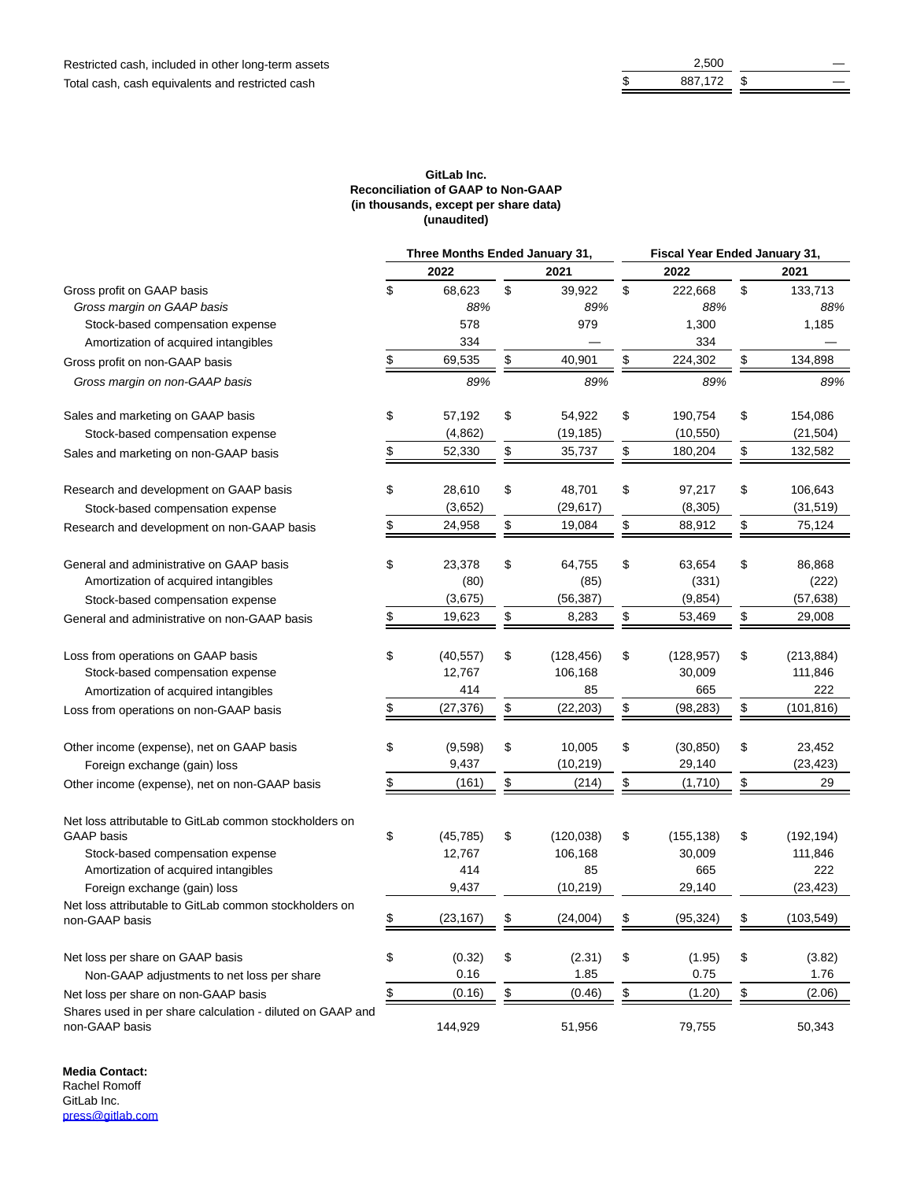| -   |  |
|-----|--|
| 1/2 |  |

### **GitLab Inc. Reconciliation of GAAP to Non-GAAP (in thousands, except per share data) (unaudited)**

|                                                                                                    | Three Months Ended January 31, |                      |               | Fiscal Year Ended January 31, |                      |
|----------------------------------------------------------------------------------------------------|--------------------------------|----------------------|---------------|-------------------------------|----------------------|
|                                                                                                    | 2022                           | 2021                 |               | 2022                          | 2021                 |
| Gross profit on GAAP basis                                                                         | \$<br>68,623                   | \$<br>39,922         | \$            | 222,668                       | \$<br>133,713        |
| Gross margin on GAAP basis                                                                         | 88%                            | 89%                  |               | 88%                           | 88%                  |
| Stock-based compensation expense                                                                   | 578                            | 979                  |               | 1,300                         | 1,185                |
| Amortization of acquired intangibles                                                               | 334                            |                      |               | 334                           |                      |
| Gross profit on non-GAAP basis                                                                     | \$<br>69,535                   | \$<br>40,901         | \$            | 224,302                       | \$<br>134,898        |
| Gross margin on non-GAAP basis                                                                     | 89%                            | 89%                  |               | 89%                           | 89%                  |
| Sales and marketing on GAAP basis                                                                  | \$<br>57,192                   | \$<br>54,922         | \$            | 190,754                       | \$<br>154,086        |
| Stock-based compensation expense                                                                   | (4, 862)                       | (19, 185)            |               | (10, 550)                     | (21, 504)            |
| Sales and marketing on non-GAAP basis                                                              | \$<br>52,330                   | \$<br>35,737         | \$            | 180,204                       | \$<br>132,582        |
| Research and development on GAAP basis                                                             | \$<br>28,610                   | \$<br>48,701         | \$            | 97,217                        | \$<br>106,643        |
| Stock-based compensation expense                                                                   | (3,652)                        | (29, 617)            |               | (8,305)                       | (31,519)             |
| Research and development on non-GAAP basis                                                         | \$<br>24,958                   | \$<br>19,084         | \$            | 88,912                        | \$<br>75,124         |
| General and administrative on GAAP basis                                                           | \$<br>23,378                   | \$<br>64,755         | \$            | 63,654                        | \$<br>86,868         |
| Amortization of acquired intangibles                                                               | (80)                           | (85)                 |               | (331)                         | (222)                |
| Stock-based compensation expense                                                                   | (3,675)                        | (56, 387)            |               | (9, 854)                      | (57, 638)            |
| General and administrative on non-GAAP basis                                                       | \$<br>19,623                   | \$<br>8,283          | \$            | 53,469                        | \$<br>29,008         |
| Loss from operations on GAAP basis                                                                 | \$<br>(40, 557)                | \$<br>(128, 456)     | \$            | (128, 957)                    | \$<br>(213, 884)     |
| Stock-based compensation expense                                                                   | 12,767                         | 106,168              |               | 30,009                        | 111,846              |
| Amortization of acquired intangibles                                                               | 414                            | 85                   |               | 665                           | 222                  |
| Loss from operations on non-GAAP basis                                                             | \$<br>(27, 376)                | \$<br>(22, 203)      | \$            | (98, 283)                     | \$<br>(101, 816)     |
| Other income (expense), net on GAAP basis                                                          | \$<br>(9,598)                  | \$<br>10,005         | \$            | (30, 850)                     | \$<br>23,452         |
| Foreign exchange (gain) loss                                                                       | 9,437                          | (10, 219)            |               | 29,140                        | (23, 423)            |
| Other income (expense), net on non-GAAP basis                                                      | \$<br>(161)                    | \$<br>(214)          | \$            | (1,710)                       | \$<br>29             |
| Net loss attributable to GitLab common stockholders on                                             |                                |                      |               |                               |                      |
| <b>GAAP</b> basis                                                                                  | \$<br>(45, 785)                | \$<br>(120, 038)     | \$            | (155, 138)                    | \$<br>(192, 194)     |
| Stock-based compensation expense                                                                   | 12,767                         | 106,168              |               | 30,009                        | 111,846              |
| Amortization of acquired intangibles                                                               | 414                            | 85                   |               | 665                           | 222                  |
| Foreign exchange (gain) loss                                                                       | 9,437                          | (10, 219)            |               | 29,140                        | (23, 423)            |
| Net loss attributable to GitLab common stockholders on<br>non-GAAP basis                           | (23, 167)                      | (24,004)             |               | (95, 324)                     | (103, 549)           |
|                                                                                                    |                                |                      |               |                               |                      |
| Net loss per share on GAAP basis                                                                   | \$<br>(0.32)<br>0.16           | \$<br>(2.31)<br>1.85 | \$            | (1.95)<br>0.75                | \$<br>(3.82)<br>1.76 |
| Non-GAAP adjustments to net loss per share                                                         | \$<br>(0.16)                   | \$                   |               | (1.20)                        | (2.06)               |
| Net loss per share on non-GAAP basis<br>Shares used in per share calculation - diluted on GAAP and |                                | (0.46)               | $\frac{1}{2}$ |                               | \$                   |
| non-GAAP basis                                                                                     | 144,929                        | 51,956               |               | 79,755                        | 50,343               |